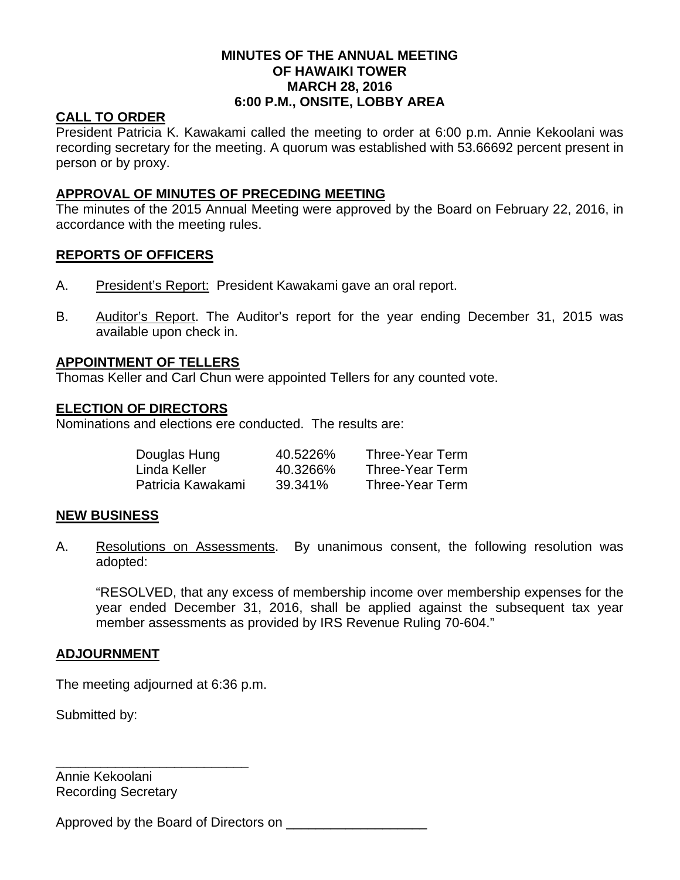# **MINUTES OF THE ANNUAL MEETING OF HAWAIKI TOWER MARCH 28, 2016 6:00 P.M., ONSITE, LOBBY AREA**

# **CALL TO ORDER**

President Patricia K. Kawakami called the meeting to order at 6:00 p.m. Annie Kekoolani was recording secretary for the meeting. A quorum was established with 53.66692 percent present in person or by proxy.

# **APPROVAL OF MINUTES OF PRECEDING MEETING**

The minutes of the 2015 Annual Meeting were approved by the Board on February 22, 2016, in accordance with the meeting rules.

# **REPORTS OF OFFICERS**

- A. President's Report: President Kawakami gave an oral report.
- B. Auditor's Report. The Auditor's report for the year ending December 31, 2015 was available upon check in.

# **APPOINTMENT OF TELLERS**

Thomas Keller and Carl Chun were appointed Tellers for any counted vote.

# **ELECTION OF DIRECTORS**

Nominations and elections ere conducted. The results are:

| Douglas Hung      | 40.5226% | Three-Year Term |
|-------------------|----------|-----------------|
| Linda Keller      | 40.3266% | Three-Year Term |
| Patricia Kawakami | 39.341%  | Three-Year Term |

## **NEW BUSINESS**

A. Resolutions on Assessments. By unanimous consent, the following resolution was adopted:

"RESOLVED, that any excess of membership income over membership expenses for the year ended December 31, 2016, shall be applied against the subsequent tax year member assessments as provided by IRS Revenue Ruling 70-604."

## **ADJOURNMENT**

The meeting adjourned at 6:36 p.m.

\_\_\_\_\_\_\_\_\_\_\_\_\_\_\_\_\_\_\_\_\_\_\_\_\_\_

Submitted by:

Annie Kekoolani Recording Secretary

Approved by the Board of Directors on \_\_\_\_\_\_\_\_\_\_\_\_\_\_\_\_\_\_\_